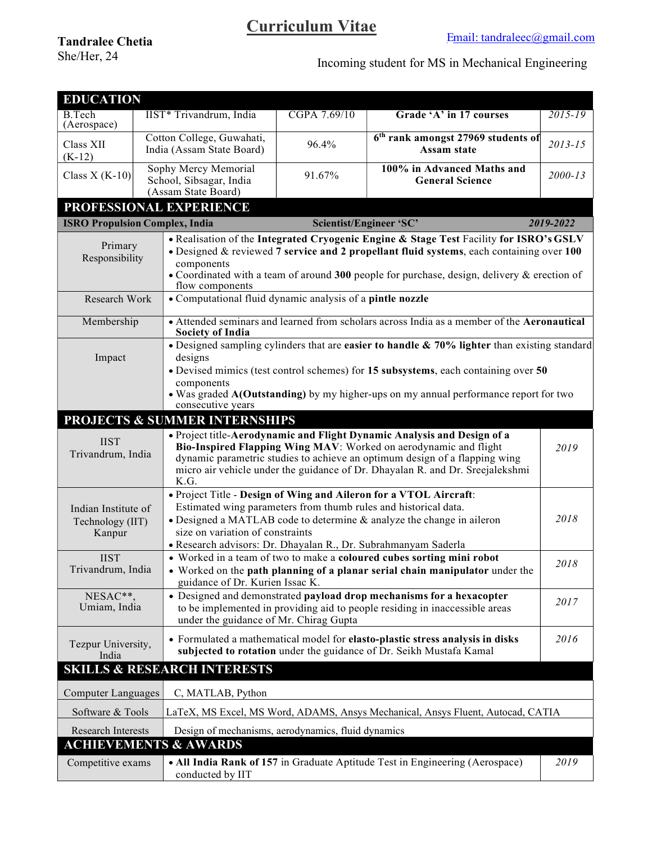## Curriculum Vitae

|                                        |                                                                              | <b>Curriculum Vitae</b>                                                                          |                                                                                                                                                                                                                                                                                              |             |  |  |
|----------------------------------------|------------------------------------------------------------------------------|--------------------------------------------------------------------------------------------------|----------------------------------------------------------------------------------------------------------------------------------------------------------------------------------------------------------------------------------------------------------------------------------------------|-------------|--|--|
| <b>Tandralee Chetia</b><br>She/Her, 24 |                                                                              |                                                                                                  | Email: tandraleec@gmail.com                                                                                                                                                                                                                                                                  |             |  |  |
|                                        |                                                                              |                                                                                                  | Incoming student for MS in Mechanical Engineering                                                                                                                                                                                                                                            |             |  |  |
| <b>EDUCATION</b>                       |                                                                              |                                                                                                  |                                                                                                                                                                                                                                                                                              |             |  |  |
| B.Tech                                 | IIST* Trivandrum, India                                                      | CGPA 7.69/10                                                                                     | Grade 'A' in 17 courses                                                                                                                                                                                                                                                                      | $2015 - 19$ |  |  |
| (Aerospace)<br>Class XII<br>$(K-12)$   | Cotton College, Guwahati,<br>India (Assam State Board)                       | 96.4%                                                                                            | 6 <sup>th</sup> rank amongst 27969 students of<br>Assam state                                                                                                                                                                                                                                | $2013 - 15$ |  |  |
| Class X $(K-10)$                       | Sophy Mercy Memorial<br>School, Sibsagar, India<br>(Assam State Board)       | 91.67%                                                                                           | 100% in Advanced Maths and<br><b>General Science</b>                                                                                                                                                                                                                                         | $2000 - 13$ |  |  |
|                                        | PROFESSIONAL EXPERIENCE                                                      |                                                                                                  |                                                                                                                                                                                                                                                                                              |             |  |  |
|                                        | <b>ISRO Propulsion Complex, India</b>                                        | Scientist/Engineer 'SC'                                                                          |                                                                                                                                                                                                                                                                                              | 2019-2022   |  |  |
| Primary<br>Responsibility              | components                                                                   |                                                                                                  | . Realisation of the Integrated Cryogenic Engine & Stage Test Facility for ISRO's GSLV<br>$\bullet$ Designed & reviewed 7 service and 2 propellant fluid systems, each containing over 100<br>• Coordinated with a team of around 300 people for purchase, design, delivery $\&$ erection of |             |  |  |
| Research Work                          | flow components<br>• Computational fluid dynamic analysis of a pintle nozzle |                                                                                                  |                                                                                                                                                                                                                                                                                              |             |  |  |
| Membership                             |                                                                              |                                                                                                  | • Attended seminars and learned from scholars across India as a member of the Aeronautical                                                                                                                                                                                                   |             |  |  |
|                                        | <b>Society of India</b>                                                      | • Designed sampling cylinders that are easier to handle $\& 70\%$ lighter than existing standard |                                                                                                                                                                                                                                                                                              |             |  |  |
| Impact                                 | designs                                                                      | • Devised mimics (test control schemes) for 15 subsystems, each containing over 50               |                                                                                                                                                                                                                                                                                              |             |  |  |
|                                        | components                                                                   |                                                                                                  |                                                                                                                                                                                                                                                                                              |             |  |  |
|                                        | consecutive years                                                            |                                                                                                  | • Was graded A(Outstanding) by my higher-ups on my annual performance report for two                                                                                                                                                                                                         |             |  |  |
|                                        | <b>PROJECTS &amp; SUMMER INTERNSHIPS</b>                                     |                                                                                                  |                                                                                                                                                                                                                                                                                              |             |  |  |
| <b>IIST</b><br>Trivandrum, India       |                                                                              |                                                                                                  | • Project title-Aerodynamic and Flight Dynamic Analysis and Design of a<br>Bio-Inspired Flapping Wing MAV: Worked on aerodynamic and flight                                                                                                                                                  | 2019        |  |  |
|                                        |                                                                              |                                                                                                  | dynamic parametric studies to achieve an optimum design of a flapping wing<br>micro air vehicle under the guidance of Dr. Dhayalan R. and Dr. Sreejalekshmi                                                                                                                                  |             |  |  |
|                                        | K.G.                                                                         |                                                                                                  | . Project Title - Design of Wing and Aileron for a VTOL Aircraft:                                                                                                                                                                                                                            |             |  |  |
| Indian Institute of                    | Estimated wing parameters from thumb rules and historical data.              |                                                                                                  | • Designed a MATLAB code to determine & analyze the change in aileron                                                                                                                                                                                                                        | 2018        |  |  |
| Technology (IIT)<br>Kanpur             | size on variation of constraints                                             |                                                                                                  |                                                                                                                                                                                                                                                                                              |             |  |  |
| <b>IIST</b>                            | · Research advisors: Dr. Dhayalan R., Dr. Subrahmanyam Saderla               |                                                                                                  | • Worked in a team of two to make a coloured cubes sorting mini robot                                                                                                                                                                                                                        |             |  |  |
| Trivandrum, India                      |                                                                              |                                                                                                  | • Worked on the path planning of a planar serial chain manipulator under the                                                                                                                                                                                                                 | 2018        |  |  |
| NESAC**,                               | guidance of Dr. Kurien Issac K.                                              |                                                                                                  | • Designed and demonstrated payload drop mechanisms for a hexacopter                                                                                                                                                                                                                         | 2017        |  |  |
| Umiam, India                           | under the guidance of Mr. Chirag Gupta                                       |                                                                                                  | to be implemented in providing aid to people residing in inaccessible areas                                                                                                                                                                                                                  |             |  |  |
| Tezpur University,<br>India            |                                                                              |                                                                                                  | • Formulated a mathematical model for elasto-plastic stress analysis in disks<br>subjected to rotation under the guidance of Dr. Seikh Mustafa Kamal                                                                                                                                         | 2016        |  |  |
|                                        | <b>SKILLS &amp; RESEARCH INTERESTS</b>                                       |                                                                                                  |                                                                                                                                                                                                                                                                                              |             |  |  |
| <b>Computer Languages</b>              | C, MATLAB, Python                                                            |                                                                                                  |                                                                                                                                                                                                                                                                                              |             |  |  |
| Software & Tools                       |                                                                              |                                                                                                  | LaTeX, MS Excel, MS Word, ADAMS, Ansys Mechanical, Ansys Fluent, Autocad, CATIA                                                                                                                                                                                                              |             |  |  |
| Research Interests                     | Design of mechanisms, aerodynamics, fluid dynamics                           |                                                                                                  |                                                                                                                                                                                                                                                                                              |             |  |  |
|                                        | <b>ACHIEVEMENTS &amp; AWARDS</b>                                             |                                                                                                  |                                                                                                                                                                                                                                                                                              |             |  |  |
| Competitive exams                      | conducted by IIT                                                             |                                                                                                  | • All India Rank of 157 in Graduate Aptitude Test in Engineering (Aerospace)                                                                                                                                                                                                                 | 2019        |  |  |